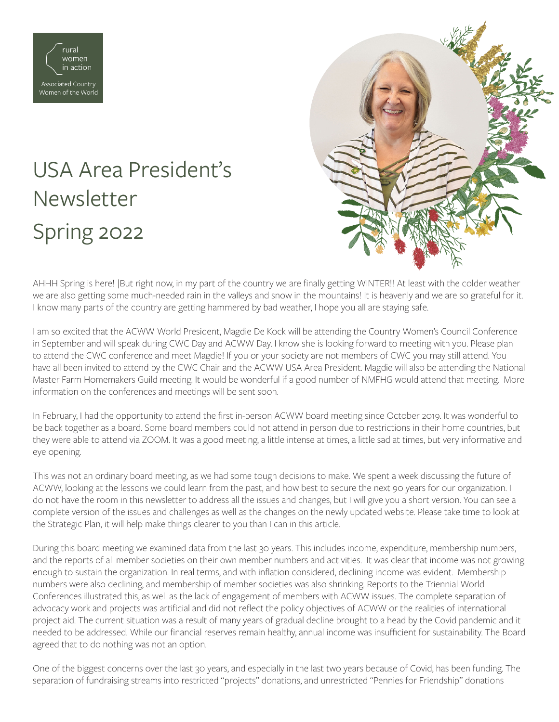

## USA Area President's Newsletter Spring 2022



AHHH Spring is here! |But right now, in my part of the country we are finally getting WINTER!! At least with the colder weather we are also getting some much-needed rain in the valleys and snow in the mountains! It is heavenly and we are so grateful for it. I know many parts of the country are getting hammered by bad weather, I hope you all are staying safe.

I am so excited that the ACWW World President, Magdie De Kock will be attending the Country Women's Council Conference in September and will speak during CWC Day and ACWW Day. I know she is looking forward to meeting with you. Please plan to attend the CWC conference and meet Magdie! If you or your society are not members of CWC you may still attend. You have all been invited to attend by the CWC Chair and the ACWW USA Area President. Magdie will also be attending the National Master Farm Homemakers Guild meeting. It would be wonderful if a good number of NMFHG would attend that meeting. More information on the conferences and meetings will be sent soon.

In February, I had the opportunity to attend the first in-person ACWW board meeting since October 2019. It was wonderful to be back together as a board. Some board members could not attend in person due to restrictions in their home countries, but they were able to attend via ZOOM. It was a good meeting, a little intense at times, a little sad at times, but very informative and eye opening.

This was not an ordinary board meeting, as we had some tough decisions to make. We spent a week discussing the future of ACWW, looking at the lessons we could learn from the past, and how best to secure the next 90 years for our organization. I do not have the room in this newsletter to address all the issues and changes, but I will give you a short version. You can see a complete version of the issues and challenges as well as the changes on the newly updated website. Please take time to look at the Strategic Plan, it will help make things clearer to you than I can in this article.

During this board meeting we examined data from the last 30 years. This includes income, expenditure, membership numbers, and the reports of all member societies on their own member numbers and activities. It was clear that income was not growing enough to sustain the organization. In real terms, and with inflation considered, declining income was evident. Membership numbers were also declining, and membership of member societies was also shrinking. Reports to the Triennial World Conferences illustrated this, as well as the lack of engagement of members with ACWW issues. The complete separation of advocacy work and projects was artificial and did not reflect the policy objectives of ACWW or the realities of international project aid. The current situation was a result of many years of gradual decline brought to a head by the Covid pandemic and it needed to be addressed. While our financial reserves remain healthy, annual income was insufficient for sustainability. The Board agreed that to do nothing was not an option.

One of the biggest concerns over the last 30 years, and especially in the last two years because of Covid, has been funding. The separation of fundraising streams into restricted "projects" donations, and unrestricted "Pennies for Friendship" donations